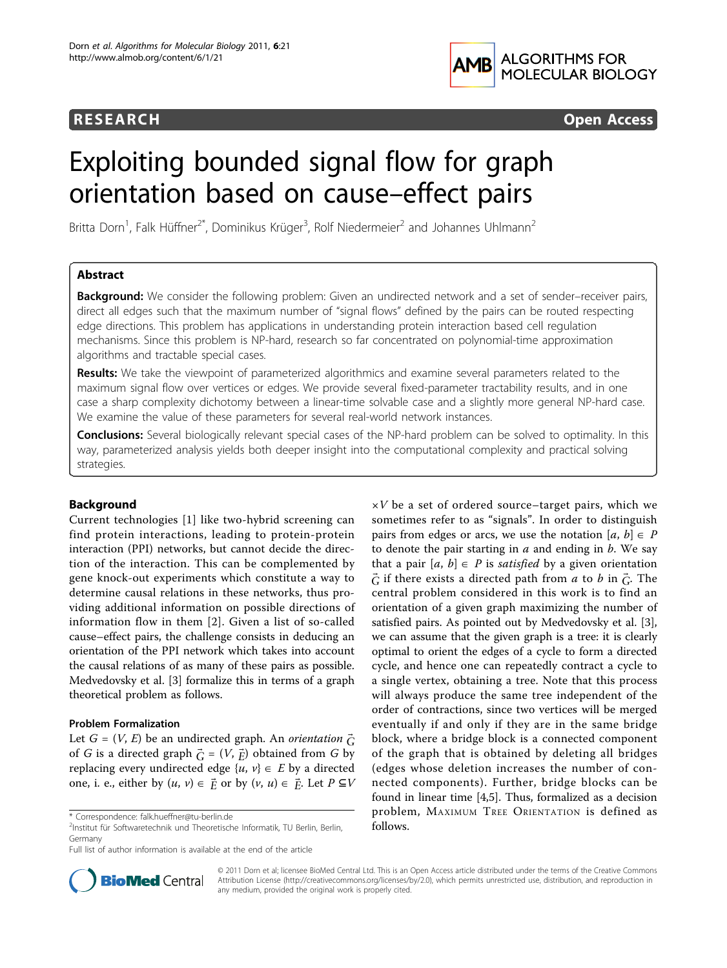

**RESEARCH CONSUMING ACCESS** 

# Exploiting bounded signal flow for graph orientation based on cause–effect pairs

Britta Dorn<sup>1</sup>, Falk Hüffner<sup>2\*</sup>, Dominikus Krüger<sup>3</sup>, Rolf Niedermeier<sup>2</sup> and Johannes Uhlmann<sup>2</sup>

# Abstract

**Background:** We consider the following problem: Given an undirected network and a set of sender–receiver pairs, direct all edges such that the maximum number of "signal flows" defined by the pairs can be routed respecting edge directions. This problem has applications in understanding protein interaction based cell regulation mechanisms. Since this problem is NP-hard, research so far concentrated on polynomial-time approximation algorithms and tractable special cases.

Results: We take the viewpoint of parameterized algorithmics and examine several parameters related to the maximum signal flow over vertices or edges. We provide several fixed-parameter tractability results, and in one case a sharp complexity dichotomy between a linear-time solvable case and a slightly more general NP-hard case. We examine the value of these parameters for several real-world network instances.

**Conclusions:** Several biologically relevant special cases of the NP-hard problem can be solved to optimality. In this way, parameterized analysis yields both deeper insight into the computational complexity and practical solving strategies.

# Background

Current technologies [[1\]](#page-11-0) like two-hybrid screening can find protein interactions, leading to protein-protein interaction (PPI) networks, but cannot decide the direction of the interaction. This can be complemented by gene knock-out experiments which constitute a way to determine causal relations in these networks, thus providing additional information on possible directions of information flow in them [\[2](#page-11-0)]. Given a list of so-called cause–effect pairs, the challenge consists in deducing an orientation of the PPI network which takes into account the causal relations of as many of these pairs as possible. Medvedovsky et al. [\[3](#page-11-0)] formalize this in terms of a graph theoretical problem as follows.

#### Problem Formalization

Let G = (V, E) be an undirected graph. An orientation *G* of *G* is a directed graph  $\vec{G} = (V, \vec{E})$  obtained from *G* by replacing every undirected edge  $\{u, v\} \in E$  by a directed one, i. e., either by  $(u, v) \in \vec{E}$  or by  $(v, u) \in \vec{E}$ . Let  $P \subseteq V$ 

<sup>2</sup>Institut für Softwaretechnik und Theoretische Informatik, TU Berlin, Berlin, Germany

Full list of author information is available at the end of the article





© 2011 Dorn et al; licensee BioMed Central Ltd. This is an Open Access article distributed under the terms of the Creative Commons Attribution License [\(http://creativecommons.org/licenses/by/2.0](http://creativecommons.org/licenses/by/2.0)), which permits unrestricted use, distribution, and reproduction in any medium, provided the original work is properly cited.

<sup>\*</sup> Correspondence: [falk.hueffner@tu-berlin.de](mailto:falk.hueffner@tu-berlin.de)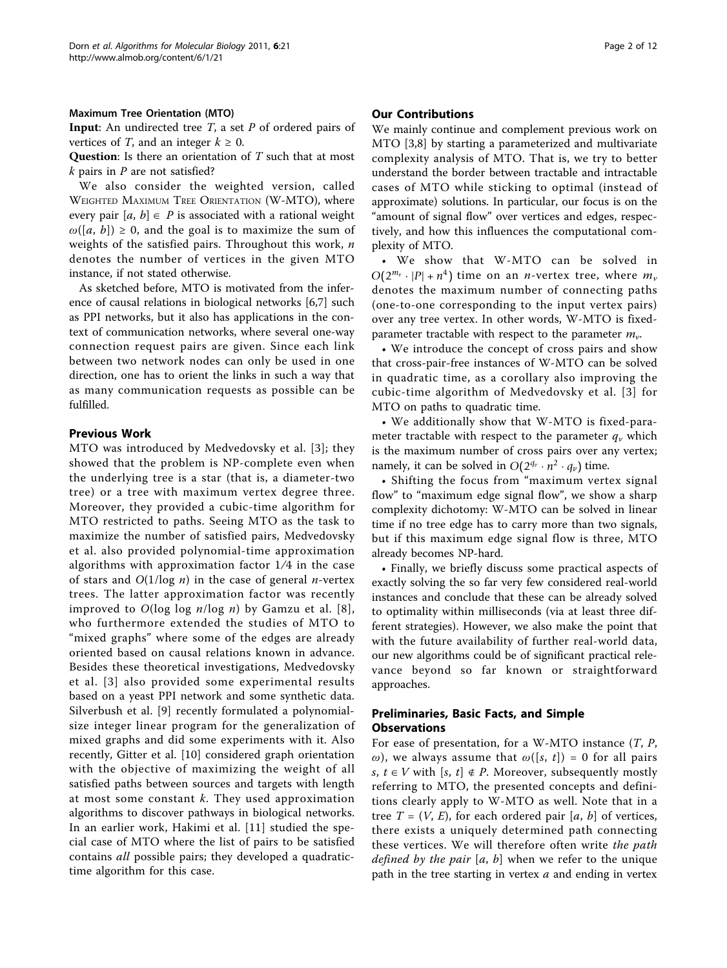#### Maximum Tree Orientation (MTO)

**Input:** An undirected tree  $T$ , a set  $P$  of ordered pairs of vertices of T, and an integer  $k \geq 0$ .

Question: Is there an orientation of T such that at most  $k$  pairs in  $P$  are not satisfied?

We also consider the weighted version, called WEIGHTED MAXIMUM TREE ORIENTATION (W-MTO), where every pair  $[a, b] \in P$  is associated with a rational weight  $\omega([a, b]) \geq 0$ , and the goal is to maximize the sum of weights of the satisfied pairs. Throughout this work,  $n$ denotes the number of vertices in the given MTO instance, if not stated otherwise.

As sketched before, MTO is motivated from the inference of causal relations in biological networks [\[6,7](#page-11-0)] such as PPI networks, but it also has applications in the context of communication networks, where several one-way connection request pairs are given. Since each link between two network nodes can only be used in one direction, one has to orient the links in such a way that as many communication requests as possible can be fulfilled.

#### Previous Work

MTO was introduced by Medvedovsky et al. [[3](#page-11-0)]; they showed that the problem is NP-complete even when the underlying tree is a star (that is, a diameter-two tree) or a tree with maximum vertex degree three. Moreover, they provided a cubic-time algorithm for MTO restricted to paths. Seeing MTO as the task to maximize the number of satisfied pairs, Medvedovsky et al. also provided polynomial-time approximation algorithms with approximation factor 1/4 in the case of stars and  $O(1/\log n)$  in the case of general *n*-vertex trees. The latter approximation factor was recently improved to  $O(\log \log n / \log n)$  by Gamzu et al. [[8\]](#page-11-0), who furthermore extended the studies of MTO to "mixed graphs" where some of the edges are already oriented based on causal relations known in advance. Besides these theoretical investigations, Medvedovsky et al. [[3\]](#page-11-0) also provided some experimental results based on a yeast PPI network and some synthetic data. Silverbush et al. [\[9](#page-11-0)] recently formulated a polynomialsize integer linear program for the generalization of mixed graphs and did some experiments with it. Also recently, Gitter et al. [[10\]](#page-11-0) considered graph orientation with the objective of maximizing the weight of all satisfied paths between sources and targets with length at most some constant  $k$ . They used approximation algorithms to discover pathways in biological networks. In an earlier work, Hakimi et al. [[11](#page-11-0)] studied the special case of MTO where the list of pairs to be satisfied contains all possible pairs; they developed a quadratictime algorithm for this case.

#### Our Contributions

We mainly continue and complement previous work on MTO [[3,8\]](#page-11-0) by starting a parameterized and multivariate complexity analysis of MTO. That is, we try to better understand the border between tractable and intractable cases of MTO while sticking to optimal (instead of approximate) solutions. In particular, our focus is on the "amount of signal flow" over vertices and edges, respectively, and how this influences the computational complexity of MTO.

• We show that W-MTO can be solved in  $O(2^{m_v} \cdot |P| + n^4)$  time on an *n*-vertex tree, where  $m_v$ denotes the maximum number of connecting paths (one-to-one corresponding to the input vertex pairs) over any tree vertex. In other words, W-MTO is fixedparameter tractable with respect to the parameter  $m_{\nu}$ .

• We introduce the concept of cross pairs and show that cross-pair-free instances of W-MTO can be solved in quadratic time, as a corollary also improving the cubic-time algorithm of Medvedovsky et al. [[3](#page-11-0)] for MTO on paths to quadratic time.

• We additionally show that W-MTO is fixed-parameter tractable with respect to the parameter  $q_v$  which is the maximum number of cross pairs over any vertex; namely, it can be solved in  $O(2^{q_v} \cdot n^2 \cdot q_v)$  time.

• Shifting the focus from "maximum vertex signal flow" to "maximum edge signal flow", we show a sharp complexity dichotomy: W-MTO can be solved in linear time if no tree edge has to carry more than two signals, but if this maximum edge signal flow is three, MTO already becomes NP-hard.

• Finally, we briefly discuss some practical aspects of exactly solving the so far very few considered real-world instances and conclude that these can be already solved to optimality within milliseconds (via at least three different strategies). However, we also make the point that with the future availability of further real-world data, our new algorithms could be of significant practical relevance beyond so far known or straightforward approaches.

# Preliminaries, Basic Facts, and Simple Observations

For ease of presentation, for a W-MTO instance  $(T, P, T)$ ω), we always assume that  $ω([s, t]) = 0$  for all pairs s,  $t \in V$  with [s, t]  $\notin P$ . Moreover, subsequently mostly referring to MTO, the presented concepts and definitions clearly apply to W-MTO as well. Note that in a tree  $T = (V, E)$ , for each ordered pair [a, b] of vertices, there exists a uniquely determined path connecting these vertices. We will therefore often write the path *defined by the pair*  $[a, b]$  when we refer to the unique path in the tree starting in vertex  $a$  and ending in vertex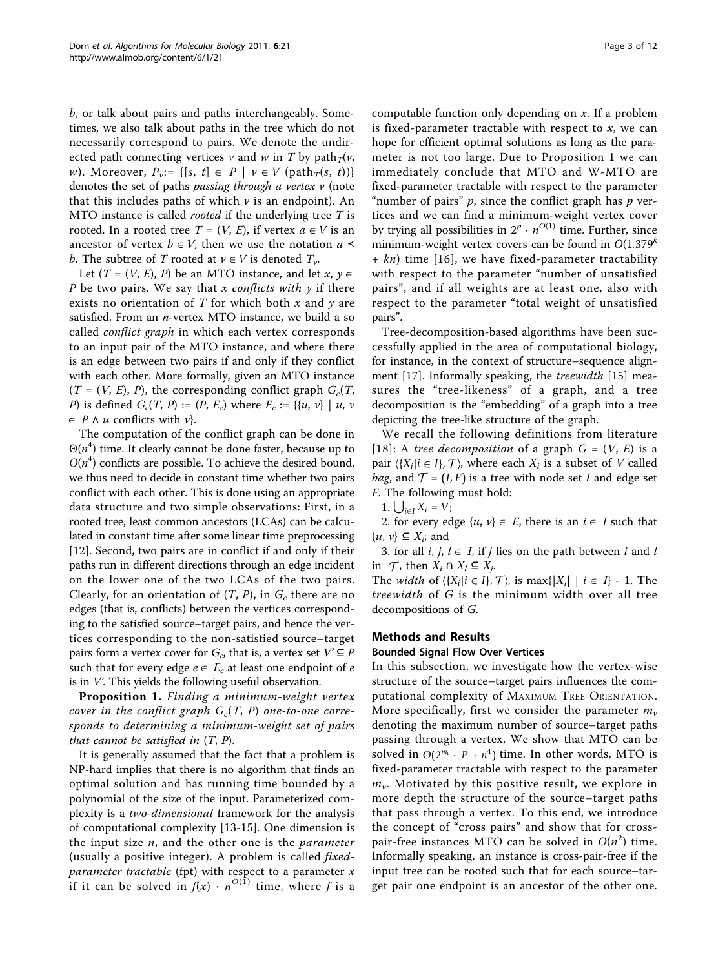b, or talk about pairs and paths interchangeably. Sometimes, we also talk about paths in the tree which do not necessarily correspond to pairs. We denote the undirected path connecting vertices v and w in T by path $_T(v,$ w). Moreover,  $P_v := \{ [s, t] \in P \mid v \in V \text{ (path}_T(s, t)) \}$ denotes the set of paths *passing through a vertex v* (note that this includes paths of which  $\nu$  is an endpoint). An MTO instance is called rooted if the underlying tree T is rooted. In a rooted tree  $T = (V, E)$ , if vertex  $a \in V$  is an ancestor of vertex  $b \in V$ , then we use the notation  $a \prec$ *b*. The subtree of T rooted at  $v \in V$  is denoted  $T_v$ .

Let  $(T = (V, E), P)$  be an MTO instance, and let  $x, y \in$ P be two pairs. We say that  $x$  conflicts with  $y$  if there exists no orientation of  $T$  for which both  $x$  and  $y$  are satisfied. From an  $n$ -vertex MTO instance, we build a so called conflict graph in which each vertex corresponds to an input pair of the MTO instance, and where there is an edge between two pairs if and only if they conflict with each other. More formally, given an MTO instance  $(T = (V, E), P)$ , the corresponding conflict graph  $G_c(T, E)$ *P*) is defined  $G_c(T, P) := (P, E_c)$  where  $E_c := \{(u, v\} \mid u, v\})$  $\in$  *P*  $\wedge$  *u* conflicts with  $\nu$ }.

The computation of the conflict graph can be done in  $\Theta(n^4)$  time. It clearly cannot be done faster, because up to  $O(n^4)$  conflicts are possible. To achieve the desired bound, we thus need to decide in constant time whether two pairs conflict with each other. This is done using an appropriate data structure and two simple observations: First, in a rooted tree, least common ancestors (LCAs) can be calculated in constant time after some linear time preprocessing [[12\]](#page-11-0). Second, two pairs are in conflict if and only if their paths run in different directions through an edge incident on the lower one of the two LCAs of the two pairs. Clearly, for an orientation of  $(T, P)$ , in  $G_c$  there are no edges (that is, conflicts) between the vertices corresponding to the satisfied source–target pairs, and hence the vertices corresponding to the non-satisfied source–target pairs form a vertex cover for  $G_c$ , that is, a vertex set  $V \subseteq P$ such that for every edge  $e \in E_c$  at least one endpoint of e is in V'. This yields the following useful observation.

Proposition 1. Finding a minimum-weight vertex cover in the conflict graph  $G_c(T, P)$  one-to-one corresponds to determining a minimum-weight set of pairs that cannot be satisfied in  $(T, P)$ .

It is generally assumed that the fact that a problem is NP-hard implies that there is no algorithm that finds an optimal solution and has running time bounded by a polynomial of the size of the input. Parameterized complexity is a two-dimensional framework for the analysis of computational complexity [[13-15](#page-11-0)]. One dimension is the input size  $n$ , and the other one is the *parameter* (usually a positive integer). A problem is called fixed*parameter tractable* (fpt) with respect to a parameter  $x$ if it can be solved in  $f(x)\,\cdot\,n^{O(1)}$  time, where  $f$  is a

computable function only depending on  $x$ . If a problem is fixed-parameter tractable with respect to  $x$ , we can hope for efficient optimal solutions as long as the parameter is not too large. Due to Proposition 1 we can immediately conclude that MTO and W-MTO are fixed-parameter tractable with respect to the parameter "number of pairs"  $p$ , since the conflict graph has  $p$  vertices and we can find a minimum-weight vertex cover by trying all possibilities in  $2^p \cdot n^{O(1)}$  time. Further, since minimum-weight vertex covers can be found in  $O(1.379<sup>k</sup>)$  $+$  kn) time [[16](#page-11-0)], we have fixed-parameter tractability with respect to the parameter "number of unsatisfied pairs", and if all weights are at least one, also with respect to the parameter "total weight of unsatisfied pairs".

Tree-decomposition-based algorithms have been successfully applied in the area of computational biology, for instance, in the context of structure–sequence align-ment [[17\]](#page-11-0). Informally speaking, the *treewidth* [\[15](#page-11-0)] measures the "tree-likeness" of a graph, and a tree decomposition is the "embedding" of a graph into a tree depicting the tree-like structure of the graph.

We recall the following definitions from literature [[18\]](#page-11-0): A tree decomposition of a graph  $G = (V, E)$  is a pair  $\langle \{X_i | i \in I\}, \mathcal{T} \rangle$ , where each  $X_i$  is a subset of V called *bag*, and  $\mathcal{T} = (I, F)$  is a tree with node set I and edge set F. The following must hold:

$$
1. \bigcup_{i \in I} X_i = V;
$$

2. for every edge  $\{u, v\} \in E$ , there is an  $i \in I$  such that { $u, v$ } ⊆  $X_i$ ; and

3. for all i, j,  $l \in I$ , if j lies on the path between i and l in  $\mathcal{T}$ , then  $X_i$  ∩  $X_l \subseteq X_j$ .

The *width* of  $\langle \{X_i | i \in I\}, \mathcal{T} \rangle$ , is max $\{|X_i| | i \in I\}$  - 1. The treewidth of G is the minimum width over all tree decompositions of G.

# Methods and Results

# Bounded Signal Flow Over Vertices

In this subsection, we investigate how the vertex-wise structure of the source–target pairs influences the computational complexity of MAXIMUM TREE ORIENTATION. More specifically, first we consider the parameter  $m_{\nu}$ denoting the maximum number of source–target paths passing through a vertex. We show that MTO can be solved in  $O(2^{m_v} \cdot |P| + n^4)$  time. In other words, MTO is fixed-parameter tractable with respect to the parameter  $m_{\nu}$ . Motivated by this positive result, we explore in more depth the structure of the source–target paths that pass through a vertex. To this end, we introduce the concept of "cross pairs" and show that for crosspair-free instances MTO can be solved in  $O(n^2)$  time. Informally speaking, an instance is cross-pair-free if the input tree can be rooted such that for each source–target pair one endpoint is an ancestor of the other one.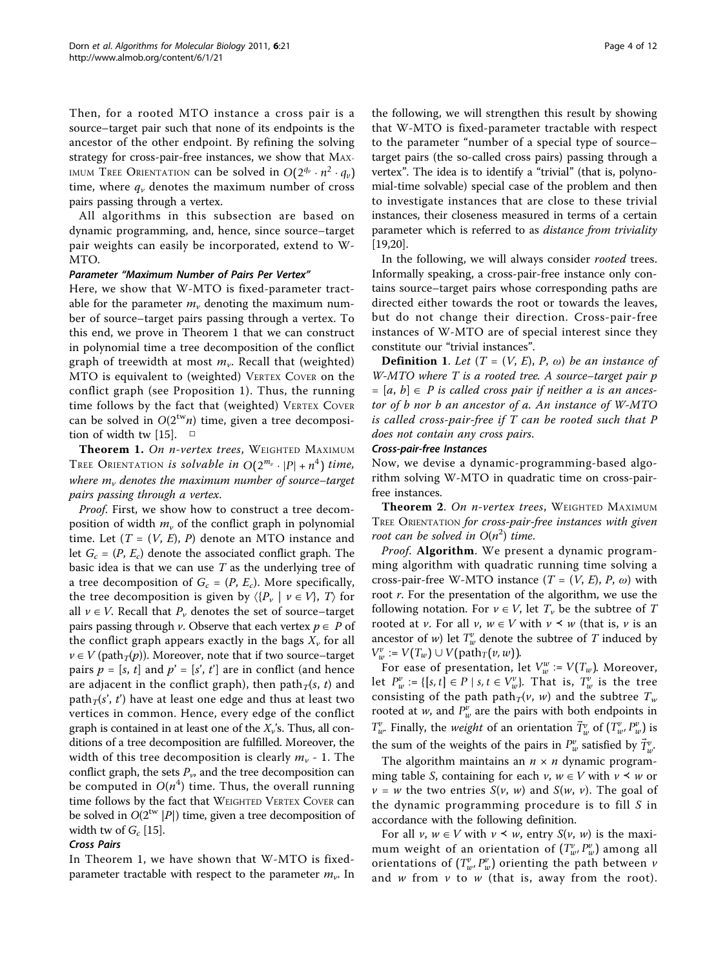Then, for a rooted MTO instance a cross pair is a source–target pair such that none of its endpoints is the ancestor of the other endpoint. By refining the solving strategy for cross-pair-free instances, we show that MAX-IMUM TREE ORIENTATION can be solved in  $O(2^{q_v} \cdot n^2 \cdot q_v)$ time, where  $q_v$  denotes the maximum number of cross pairs passing through a vertex.

All algorithms in this subsection are based on dynamic programming, and, hence, since source–target pair weights can easily be incorporated, extend to W-MTO.

# Parameter "Maximum Number of Pairs Per Vertex"

Here, we show that W-MTO is fixed-parameter tractable for the parameter  $m_{\nu}$  denoting the maximum number of source–target pairs passing through a vertex. To this end, we prove in Theorem 1 that we can construct in polynomial time a tree decomposition of the conflict graph of treewidth at most  $m_{\nu}$ . Recall that (weighted) MTO is equivalent to (weighted) VERTEX COVER on the conflict graph (see Proposition 1). Thus, the running time follows by the fact that (weighted) VERTEX COVER can be solved in  $O(2^{tw}n)$  time, given a tree decomposi-tion of width tw [[15\]](#page-11-0).  $\Box$ 

Theorem 1. On n-vertex trees, WEIGHTED MAXIMUM TREE ORIENTATION is solvable in  $O(2^{m_v} \cdot |P| + n^4)$  time, where  $m<sub>v</sub>$  denotes the maximum number of source–target pairs passing through a vertex.

Proof. First, we show how to construct a tree decomposition of width  $m_{\nu}$  of the conflict graph in polynomial time. Let  $(T = (V, E), P)$  denote an MTO instance and let  $G_c = (P, E_c)$  denote the associated conflict graph. The basic idea is that we can use  $T$  as the underlying tree of a tree decomposition of  $G_c = (P, E_c)$ . More specifically, the tree decomposition is given by  $\langle P_{\nu} | \nu \in V \rangle$ ,  $T \rangle$  for all  $v \in V$ . Recall that  $P_v$  denotes the set of source–target pairs passing through v. Observe that each vertex  $p \in P$  of the conflict graph appears exactly in the bags  $X_{\nu}$  for all  $v \in V$  (path $_T(p)$ ). Moreover, note that if two source–target pairs  $p = [s, t]$  and  $p' = [s', t']$  are in conflict (and hence are adjacent in the conflict graph), then path  $_T(s, t)$  and path $_T(s', t')$  have at least one edge and thus at least two vertices in common. Hence, every edge of the conflict graph is contained in at least one of the  $X_v$ 's. Thus, all conditions of a tree decomposition are fulfilled. Moreover, the width of this tree decomposition is clearly  $m_{\nu}$  - 1. The conflict graph, the sets  $P_{\nu}$ , and the tree decomposition can be computed in  $O(n^4)$  time. Thus, the overall running time follows by the fact that WEIGHTED VERTEX COVER can be solved in  $O(2^{tw} |P|)$  time, given a tree decomposition of width tw of  $G_c$  [\[15](#page-11-0)].

#### Cross Pairs

In Theorem 1, we have shown that W-MTO is fixedparameter tractable with respect to the parameter  $m_{\nu}$ . In

the following, we will strengthen this result by showing that W-MTO is fixed-parameter tractable with respect to the parameter "number of a special type of source– target pairs (the so-called cross pairs) passing through a vertex". The idea is to identify a "trivial" (that is, polynomial-time solvable) special case of the problem and then to investigate instances that are close to these trivial instances, their closeness measured in terms of a certain parameter which is referred to as distance from triviality [[19,20\]](#page-11-0).

In the following, we will always consider rooted trees. Informally speaking, a cross-pair-free instance only contains source–target pairs whose corresponding paths are directed either towards the root or towards the leaves, but do not change their direction. Cross-pair-free instances of W-MTO are of special interest since they constitute our "trivial instances".

**Definition 1.** Let  $(T = (V, E), P, \omega)$  be an instance of W-MTO where T is a rooted tree. A source-target pair p  $=[a, b] \in P$  is called cross pair if neither a is an ancestor of b nor b an ancestor of a. An instance of W-MTO is called cross-pair-free if T can be rooted such that P does not contain any cross pairs.

#### Cross-pair-free Instances

Now, we devise a dynamic-programming-based algorithm solving W-MTO in quadratic time on cross-pairfree instances.

Theorem 2. On n-vertex trees, WEIGHTED MAXIMUM TREE ORIENTATION for cross-pair-free instances with given root can be solved in  $O(n^2)$  time.

Proof. Algorithm. We present a dynamic programming algorithm with quadratic running time solving a cross-pair-free W-MTO instance  $(T = (V, E), P, \omega)$  with root  $r$ . For the presentation of the algorithm, we use the following notation. For  $v \in V$ , let  $T_v$  be the subtree of T rooted at v. For all v,  $w \in V$  with  $v \prec w$  (that is, v is an ancestor of  $w$ ) let  $T_w^v$  denote the subtree of  $T$  induced by *V*<sup>*w*</sup> := *V*(*T<sub><i>w*</sub>)∪ *V*(path<sub>*T*</sub>(*v*, *w*)).

For ease of presentation, let  $V_w^w := V(T_w)$ . Moreover, let  $P_w^v := \{ [s, t] \in P \mid s, t \in V_w^v \}$ . That is,  $T_w^v$  is the tree consisting of the path path  $_T(v, w)$  and the subtree  $T_w$ rooted at  $w$ , and  $P_w^v$  are the pairs with both endpoints in *T*<sup>*w*</sup>. Finally, the *weight* of an orientation  $\vec{T}^{\nu}_{w}$  of  $(T^{\nu}_{w}, P^{\nu}_{w})$  is the sum of the weights of the pairs in  $P_w^{\nu}$  satisfied by  $\vec{T}_w^{\nu}$ 

The algorithm maintains an  $n \times n$  dynamic programming table S, containing for each  $v, w \in V$  with  $v \prec w$  or  $v = w$  the two entries  $S(v, w)$  and  $S(w, v)$ . The goal of the dynamic programming procedure is to fill S in accordance with the following definition.

For all  $v, w \in V$  with  $v \prec w$ , entry  $S(v, w)$  is the maximum weight of an orientation of  $(T_w^v, P_w^v)$  among all orientations of  $(T_w^v, P_w^v)$  orienting the path between  $v$ and  $w$  from  $v$  to  $w$  (that is, away from the root).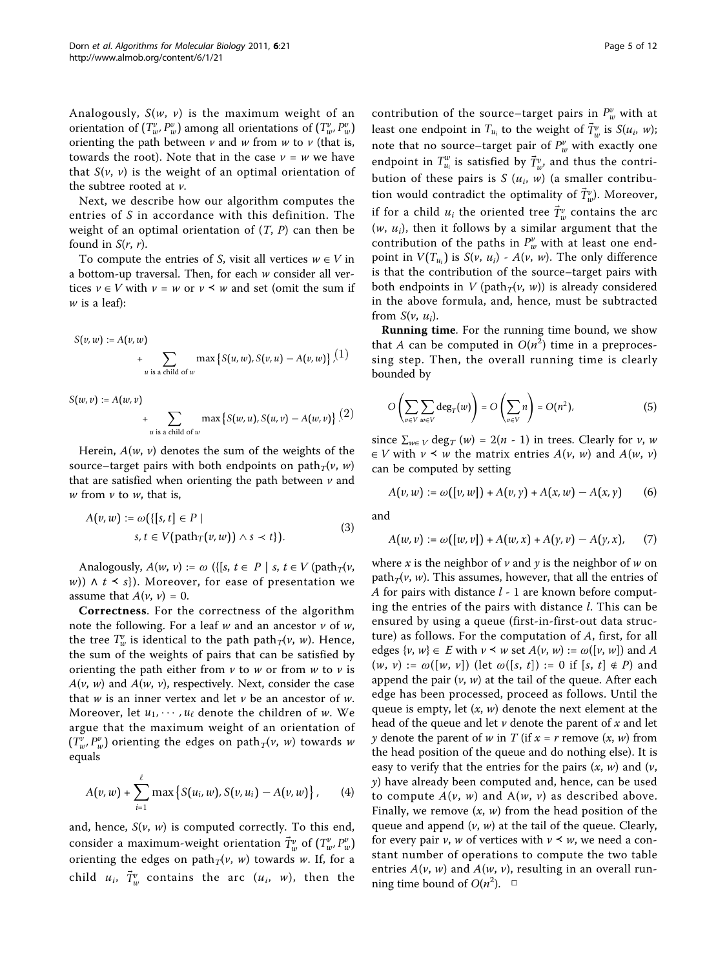Analogously,  $S(w, v)$  is the maximum weight of an orientation of  $(T_w^v, P_w^v)$  among all orientations of  $(T_{w'}^v, P_w^v)$ orienting the path between  $\nu$  and  $w$  from  $w$  to  $\nu$  (that is, towards the root). Note that in the case  $v = w$  we have that  $S(v, v)$  is the weight of an optimal orientation of the subtree rooted at v.

Next, we describe how our algorithm computes the entries of S in accordance with this definition. The weight of an optimal orientation of  $(T, P)$  can then be found in  $S(r, r)$ .

To compute the entries of S, visit all vertices  $w \in V$  in a bottom-up traversal. Then, for each  $w$  consider all vertices  $v \in V$  with  $v = w$  or  $v \prec w$  and set (omit the sum if  $w$  is a leaf):

$$
S(v, w) := A(v, w)
$$
  
+ 
$$
\sum_{u \text{ is a child of } w} \max \left\{ S(u, w), S(v, u) - A(v, w) \right\},\tag{1}
$$

 $S(w, v) := A(w, v)$ 

+ 
$$
\sum_{u \text{ is a child of } w} \max \left\{ S(w, u), S(u, v) - A(w, v) \right\} . (2)
$$

Herein,  $A(w, v)$  denotes the sum of the weights of the source–target pairs with both endpoints on path  $_T(v, w)$ that are satisfied when orienting the path between  $\nu$  and  $w$  from  $v$  to  $w$ , that is,

$$
A(v, w) := \omega({\lbrace s, t \rbrace \in P \mid s, t \in V(\text{path}_T(v, w)) \land s \prec t \rbrace}).
$$
\n(3)

Analogously,  $A(w, v) := \omega \left( \{ [s, t \in P \mid s, t \in V \text{ (path}_T(v,$ w))  $\land$  *t* ≺ *s*}). Moreover, for ease of presentation we assume that  $A(v, v) = 0$ .

Correctness. For the correctness of the algorithm note the following. For a leaf  $w$  and an ancestor  $v$  of  $w$ , the tree  $T_w^v$  is identical to the path path $_T(v, w)$ . Hence, the sum of the weights of pairs that can be satisfied by orienting the path either from  $\nu$  to  $\nu$  or from  $\nu$  to  $\nu$  is  $A(v, w)$  and  $A(w, v)$ , respectively. Next, consider the case that  $w$  is an inner vertex and let  $v$  be an ancestor of  $w$ . Moreover, let  $u_1, \dots, u_\ell$  denote the children of w. We argue that the maximum weight of an orientation of  $(T_w^v, P_w^v)$  orienting the edges on path<sub>T</sub>(v, w) towards w equals

$$
A(v, w) + \sum_{i=1}^{\ell} \max \left\{ S(u_i, w), S(v, u_i) - A(v, w) \right\}, \quad (4)
$$

and, hence,  $S(v, w)$  is computed correctly. To this end, consider a maximum-weight orientation  $\vec{T}_{w}^{v}$  of  $(T_{w'}^{v}P_{w}^{v})$ orienting the edges on path  $_T(v, w)$  towards w. If, for a child  $u_i$ ,  $\vec{T}_w^v$  contains the arc  $(u_i, w)$ , then the

Page 5 of 12

contribution of the source-target pairs in  $P_w^v$  with at least one endpoint in  $T_{u_i}$  to the weight of  $\vec{T}_{w}^v$  is  $S(u_i, w)$ ; note that no source–target pair of  $P_w^v$  with exactly one endpoint in  $T_{u_i}^w$  is satisfied by  $\vec{T}_{w'}^v$  and thus the contribution of these pairs is  $S(u_i, w)$  (a smaller contribution would contradict the optimality of  $\vec{T}_{w}^{v}$ ). Moreover, if for a child  $u_i$  the oriented tree  $\vec{T}^v_w$  contains the arc  $(w, u_i)$ , then it follows by a similar argument that the contribution of the paths in  $P_w^v$  with at least one endpoint in  $V(T_{u_i})$  is  $S(v, u_i)$  -  $A(v, w)$ . The only difference is that the contribution of the source–target pairs with both endpoints in V (path<sub> $T$ </sub>(v, w)) is already considered in the above formula, and, hence, must be subtracted from  $S(v, u_i)$ .

Running time. For the running time bound, we show that A can be computed in  $O(n^2)$  time in a preprocessing step. Then, the overall running time is clearly bounded by

$$
O\left(\sum_{v\in V}\sum_{w\in V}\deg_T(w)\right)=O\left(\sum_{v\in V}n\right)=O(n^2),\tag{5}
$$

since  $\sum_{w \in V} \deg_T(w) = 2(n - 1)$  in trees. Clearly for v, w  $\in$  *V* with *v* ≺ *w* the matrix entries *A*(*v*, *w*) and *A*(*w*, *v*) can be computed by setting

$$
A(v, w) := \omega([v, w]) + A(v, \gamma) + A(x, w) - A(x, \gamma)
$$
 (6)

and

$$
A(w, v) := \omega([w, v]) + A(w, x) + A(y, v) - A(y, x), \qquad (7)
$$

where x is the neighbor of  $\nu$  and  $\nu$  is the neighbor of  $\nu$  on path<sub> $T(v, w)$ </sub>. This assumes, however, that all the entries of A for pairs with distance  $l - 1$  are known before computing the entries of the pairs with distance l. This can be ensured by using a queue (first-in-first-out data structure) as follows. For the computation of A, first, for all edges  $\{v, w\} \in E$  with  $v \prec w$  set  $A(v, w) := \omega([v, w])$  and A  $(w, v) := \omega([w, v])$  (let  $\omega([s, t]) := 0$  if  $[s, t] \notin P$ ) and append the pair  $(v, w)$  at the tail of the queue. After each edge has been processed, proceed as follows. Until the queue is empty, let  $(x, w)$  denote the next element at the head of the queue and let  $\nu$  denote the parent of  $x$  and let y denote the parent of w in T (if  $x = r$  remove  $(x, w)$  from the head position of the queue and do nothing else). It is easy to verify that the entries for the pairs  $(x, w)$  and  $(v, w)$ y) have already been computed and, hence, can be used to compute  $A(v, w)$  and  $A(w, v)$  as described above. Finally, we remove  $(x, w)$  from the head position of the queue and append  $(v, w)$  at the tail of the queue. Clearly, for every pair v, w of vertices with  $v \prec w$ , we need a constant number of operations to compute the two table entries  $A(v, w)$  and  $A(w, v)$ , resulting in an overall running time bound of  $O(n^2)$ .  $\Box$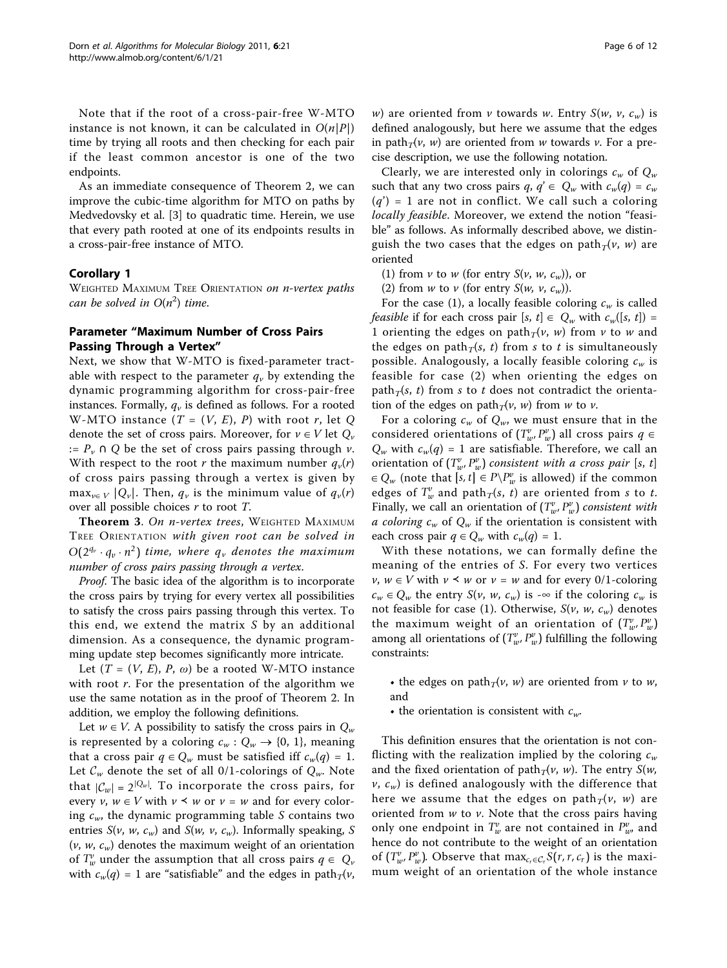Note that if the root of a cross-pair-free W-MTO instance is not known, it can be calculated in  $O(n|P|)$ time by trying all roots and then checking for each pair if the least common ancestor is one of the two endpoints.

As an immediate consequence of Theorem 2, we can improve the cubic-time algorithm for MTO on paths by Medvedovsky et al. [[3](#page-11-0)] to quadratic time. Herein, we use that every path rooted at one of its endpoints results in a cross-pair-free instance of MTO.

# Corollary 1

WEIGHTED MAXIMUM TREE ORIENTATION ON n-vertex paths can be solved in  $O(n^2)$  time.

# Parameter "Maximum Number of Cross Pairs Passing Through a Vertex"

Next, we show that W-MTO is fixed-parameter tractable with respect to the parameter  $q_v$  by extending the dynamic programming algorithm for cross-pair-free instances. Formally,  $q_v$  is defined as follows. For a rooted W-MTO instance  $(T = (V, E), P)$  with root r, let Q denote the set of cross pairs. Moreover, for  $v \in V$  let  $Q_v$ :=  $P_v$  ∩ Q be the set of cross pairs passing through v. With respect to the root r the maximum number  $q_v(r)$ of cross pairs passing through a vertex is given by  $\max_{v \in V} |Q_v|$ . Then,  $q_v$  is the minimum value of  $q_v(r)$ over all possible choices r to root T.

Theorem 3. On n-vertex trees, WEIGHTED MAXIMUM TREE ORIENTATION with given root can be solved in  $O(2^{q_v} \cdot q_v \cdot n^2)$  time, where  $q_v$  denotes the maximum number of cross pairs passing through a vertex.

Proof. The basic idea of the algorithm is to incorporate the cross pairs by trying for every vertex all possibilities to satisfy the cross pairs passing through this vertex. To this end, we extend the matrix S by an additional dimension. As a consequence, the dynamic programming update step becomes significantly more intricate.

Let  $(T = (V, E), P, \omega)$  be a rooted W-MTO instance with root  $r$ . For the presentation of the algorithm we use the same notation as in the proof of Theorem 2. In addition, we employ the following definitions.

Let  $w \in V$ . A possibility to satisfy the cross pairs in  $Q_w$ is represented by a coloring  $c_w : Q_w \to \{0, 1\}$ , meaning that a cross pair  $q \in Q_w$  must be satisfied iff  $c_w(q) = 1$ . Let  $\mathcal{C}_w$  denote the set of all 0/1-colorings of  $Q_w$ . Note that  $|\mathcal{C}_w| = 2^{|Q_w|}$ . To incorporate the cross pairs, for every  $v, w \in V$  with  $v \prec w$  or  $v = w$  and for every coloring  $c_w$ , the dynamic programming table S contains two entries  $S(v, w, c_w)$  and  $S(w, v, c_w)$ . Informally speaking, S  $(v, w, c_w)$  denotes the maximum weight of an orientation of  $T_w^v$  under the assumption that all cross pairs  $q \in Q_v$ with  $c_w(q) = 1$  are "satisfiable" and the edges in path $T(v,$ 

w) are oriented from v towards w. Entry  $S(w, v, c_w)$  is defined analogously, but here we assume that the edges in path<sub> $T(v, w)$ </sub> are oriented from w towards v. For a precise description, we use the following notation.

Clearly, we are interested only in colorings  $c_w$  of  $Q_w$ such that any two cross pairs  $q, q' \in Q_w$  with  $c_w(q) = c_w$  $(q') = 1$  are not in conflict. We call such a coloring locally feasible. Moreover, we extend the notion "feasible" as follows. As informally described above, we distinguish the two cases that the edges on path $_T(v, w)$  are oriented

(1) from  $\nu$  to  $w$  (for entry  $S(\nu, w, c_w)$ ), or

(2) from w to v (for entry  $S(w, v, c_w)$ ).

For the case (1), a locally feasible coloring  $c_w$  is called *feasible* if for each cross pair  $[s, t] \in Q_w$  with  $c_w([s, t]) =$ 1 orienting the edges on path  $\tau(\nu, w)$  from  $\nu$  to w and the edges on path  $T(s, t)$  from s to t is simultaneously possible. Analogously, a locally feasible coloring  $c_w$  is feasible for case (2) when orienting the edges on path<sub> $T(s, t)$ </sub> from s to t does not contradict the orientation of the edges on path  $_T(v, w)$  from w to v.

For a coloring  $c_w$  of  $Q_w$ , we must ensure that in the considered orientations of  $(T_w^v, P_w^v)$  all cross pairs  $q \in$  $Q_w$  with  $c_w(q) = 1$  are satisfiable. Therefore, we call an orientation of  $(T_w^v, P_w^v)$  consistent with a cross pair [s, t]  $∈ Q_w$  (note that [*s*, *t*] ∈ *P*\*P*<sup>*w*</sup><sub>*w*</sub> is allowed) if the common edges of  $T_w^v$  and path<sub>T</sub>(s, t) are oriented from s to t. Finally, we call an orientation of  $(T_w^v, P_w^v)$  consistent with *a coloring*  $c_w$  of  $Q_w$  if the orientation is consistent with each cross pair  $q \in Q_w$  with  $c_w(q) = 1$ .

With these notations, we can formally define the meaning of the entries of S. For every two vertices  $v, w \in V$  with  $v \prec w$  or  $v = w$  and for every 0/1-coloring  $c_w \in Q_w$  the entry  $S(v, w, c_w)$  is -∞ if the coloring  $c_w$  is not feasible for case (1). Otherwise,  $S(v, w, c_w)$  denotes the maximum weight of an orientation of  $(T_w^v, P_w^v)$ among all orientations of  $(T_w^v, P_w^v)$  fulfilling the following constraints:

- the edges on path  $\tau(v, w)$  are oriented from v to w, and
- the orientation is consistent with  $c_w$ .

This definition ensures that the orientation is not conflicting with the realization implied by the coloring  $c_w$ and the fixed orientation of path  $_T(v, w)$ . The entry  $S(w, w)$  $v, c_w$ ) is defined analogously with the difference that here we assume that the edges on path  $_T(v, w)$  are oriented from  $w$  to  $v$ . Note that the cross pairs having only one endpoint in  $T_w^v$  are not contained in  $P_w^v$ , and hence do not contribute to the weight of an orientation of  $(T_w^v, P_w^v)$ . Observe that  $\max_{c_r \in C_r} S(r, r, c_r)$  is the maximum weight of an orientation of the whole instance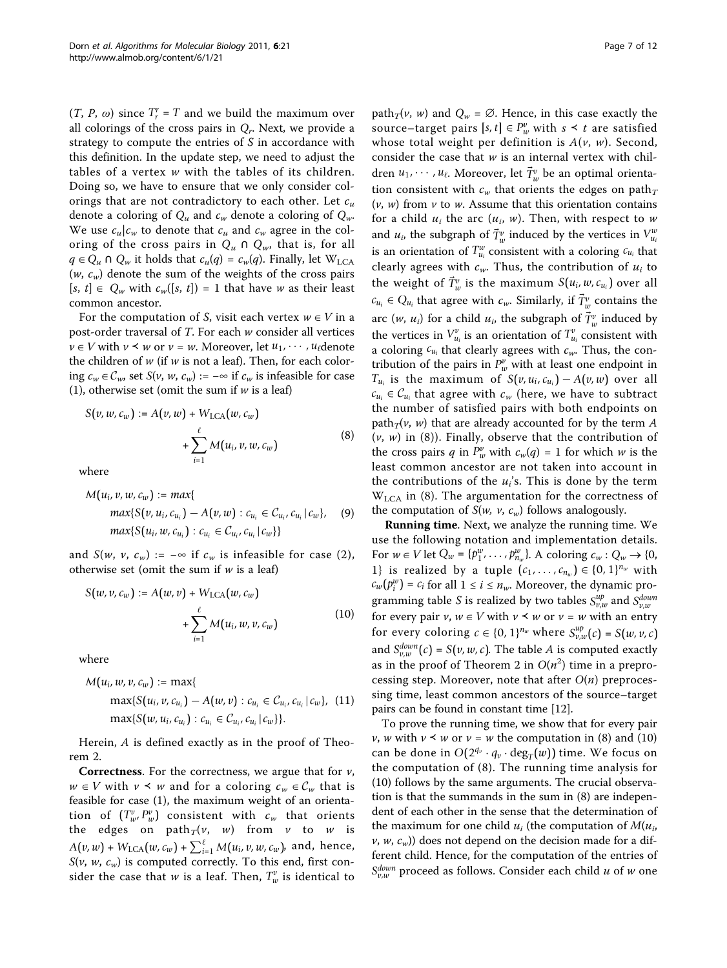(*T*, *P*,  $\omega$ ) since  $T_r^r = T$  and we build the maximum over all colorings of the cross pairs in  $Q_r$ . Next, we provide a strategy to compute the entries of S in accordance with this definition. In the update step, we need to adjust the tables of a vertex w with the tables of its children. Doing so, we have to ensure that we only consider colorings that are not contradictory to each other. Let  $c_u$ denote a coloring of  $Q_u$  and  $c_w$  denote a coloring of  $Q_w$ . We use  $c_u|c_w$  to denote that  $c_u$  and  $c_w$  agree in the coloring of the cross pairs in  $Q_u \cap Q_w$ , that is, for all  $q \in Q_u \cap Q_w$  it holds that  $c_u(q) = c_w(q)$ . Finally, let W<sub>LCA</sub>  $(w, c_w)$  denote the sum of the weights of the cross pairs  $[s, t] \in Q_w$  with  $c_w([s, t]) = 1$  that have w as their least common ancestor.

For the computation of S, visit each vertex  $w \in V$  in a post-order traversal of T. For each w consider all vertices  $v \in V$  with  $v \prec w$  or  $v = w$ . Moreover, let  $u_1, \cdots, u_\ell$  denote the children of  $w$  (if  $w$  is not a leaf). Then, for each coloring  $c_w \in C_w$ , set  $S(v, w, c_w) := -\infty$  if  $c_w$  is infeasible for case (1), otherwise set (omit the sum if  $w$  is a leaf)

$$
S(v, w, c_w) := A(v, w) + W_{\text{LCA}}(w, c_w) + \sum_{i=1}^{\ell} M(u_i, v, w, c_w)
$$
 (8)

where

$$
M(u_i, v, w, c_w) := max\{ \max S(v, u_i, c_{u_i}) - A(v, w) : c_{u_i} \in C_{u_i}, c_{u_i} | c_w \}, \quad (9) \max\{S(u_i, w, c_{u_i}) : c_{u_i} \in C_{u_i}, c_{u_i} | c_w \}\}
$$

and  $S(w, v, c_w) := -\infty$  if  $c_w$  is infeasible for case (2), otherwise set (omit the sum if  $w$  is a leaf)

$$
S(w, v, c_w) := A(w, v) + W_{\text{LCA}}(w, c_w) + \sum_{i=1}^{\ell} M(u_i, w, v, c_w)
$$
\n(10)

where

$$
M(u_i, w, v, c_w) := \max\{ \max S(u_i, v, c_{u_i}) - A(w, v) : c_{u_i} \in C_{u_i}, c_{u_i} | c_w \}, (11) \max\{S(w, u_i, c_{u_i}) : c_{u_i} \in C_{u_i}, c_{u_i} | c_w \}.
$$

Herein, A is defined exactly as in the proof of Theorem 2.

**Correctness.** For the correctness, we argue that for  $v$ ,  $w \in V$  with  $v \prec w$  and for a coloring  $c_w \in C_w$  that is feasible for case (1), the maximum weight of an orientation of  $(T_w^v, P_w^v)$  consistent with  $c_w$  that orients the edges on path  $_T(v, w)$  from v to w is  $A(v, w)$  +  $W_{\text{LCA}}(w, c_w)$  +  $\sum_{i=1}^{\ell} M(u_i, v, w, c_w)$ , and, hence,  $S(\nu, w, c_w)$  is computed correctly. To this end, first consider the case that  $w$  is a leaf. Then,  $T_w^v$  is identical to

path<sub>*T*</sub>(*v*, *w*) and  $Q_w = \emptyset$ . Hence, in this case exactly the source–target pairs  $[s, t] \in P_w^v$  with  $s \prec t$  are satisfied whose total weight per definition is  $A(v, w)$ . Second, consider the case that  $w$  is an internal vertex with children  $u_1, \dots, u_\ell$ . Moreover, let  $\vec{T}_w^v$  be an optimal orientation consistent with  $c_w$  that orients the edges on path $_T$  $(v, w)$  from  $v$  to  $w$ . Assume that this orientation contains for a child  $u_i$  the arc  $(u_i, w)$ . Then, with respect to w and  $u_i$ , the subgraph of  $\vec{T}_w^v$  induced by the vertices in  $V_{u_i}^w$ is an orientation of  $T_{u_i}^w$  consistent with a coloring  $c_{u_i}$  that clearly agrees with  $c_w$ . Thus, the contribution of  $u_i$  to the weight of  $\vec{T}_{w}^{v}$  is the maximum  $S(u_{i}, w, c_{u_{i}})$  over all  $c_{u_i} \in Q_{u_i}$  that agree with  $c_w$ . Similarly, if  $\vec{T}_w^v$  contains the arc  $(w, u_i)$  for a child  $u_i$ , the subgraph of  $\overline{T}^v_w$  induced by the vertices in  $V_{u_i}^v$  is an orientation of  $T_{u_i}^v$  consistent with a coloring  $c_{u_i}$  that clearly agrees with  $c_w$ . Thus, the contribution of the pairs in  $P_w^v$  with at least one endpoint in *T<sub>u<sub>i</sub>*</sub> is the maximum of *S*(*v*, *u<sub>i</sub>*, *c<sub>u<sub>i</sub>*</sub>) – *A*(*v*, *w*) over all  $c_{u_i} \in C_{u_i}$  that agree with  $c_w$  (here, we have to subtract the number of satisfied pairs with both endpoints on path<sub> $T(v, w)$ </sub> that are already accounted for by the term A  $(v, w)$  in (8)). Finally, observe that the contribution of the cross pairs q in  $P_w^v$  with  $c_w(q) = 1$  for which w is the least common ancestor are not taken into account in the contributions of the  $u_i$ 's. This is done by the term  $W_{\text{LCA}}$  in (8). The argumentation for the correctness of the computation of  $S(w, v, c_w)$  follows analogously.

Running time. Next, we analyze the running time. We use the following notation and implementation details. For  $w \in V$  let  $Q_w = {p_1^w, \ldots, p_{n_w}^w}$ . A coloring  $c_w : Q_w \to {0, \atop \cdots}$ 1} is realized by a tuple  $(c_1, \ldots, c_{n_w}) \in \{0, 1\}^{n_w}$  with  $c_w(p_i^w) = c_i$  for all  $1 \le i \le n_w$ . Moreover, the dynamic programming table *S* is realized by two tables  $S_{v,w}^{\text{up}}$  and  $S_{v,w}^{\text{down}}$ for every pair  $v, w \in V$  with  $v \prec w$  or  $v = w$  with an entry for every coloring  $c \in \{0, 1\}^{n_w}$  where  $S_{\nu, w}^{\mu_p}(c) = S(w, v, c)$ and  $S_{v,w}^{down}(c) = S(v,w,c)$ . The table *A* is computed exactly as in the proof of Theorem 2 in  $O(n^2)$  time in a preprocessing step. Moreover, note that after  $O(n)$  preprocessing time, least common ancestors of the source–target pairs can be found in constant time [[12](#page-11-0)].

To prove the running time, we show that for every pair *v*, *w* with  $v \leq w$  or  $v = w$  the computation in (8) and (10) can be done in  $O(2^{q_v} \cdot q_v \cdot deg_T(w))$  time. We focus on the computation of (8). The running time analysis for (10) follows by the same arguments. The crucial observation is that the summands in the sum in (8) are independent of each other in the sense that the determination of the maximum for one child  $u_i$  (the computation of  $M(u_i)$ ,  $(v, w, c_w)$  does not depend on the decision made for a different child. Hence, for the computation of the entries of  $S_{v,w}^{down}$  proceed as follows. Consider each child *u* of *w* one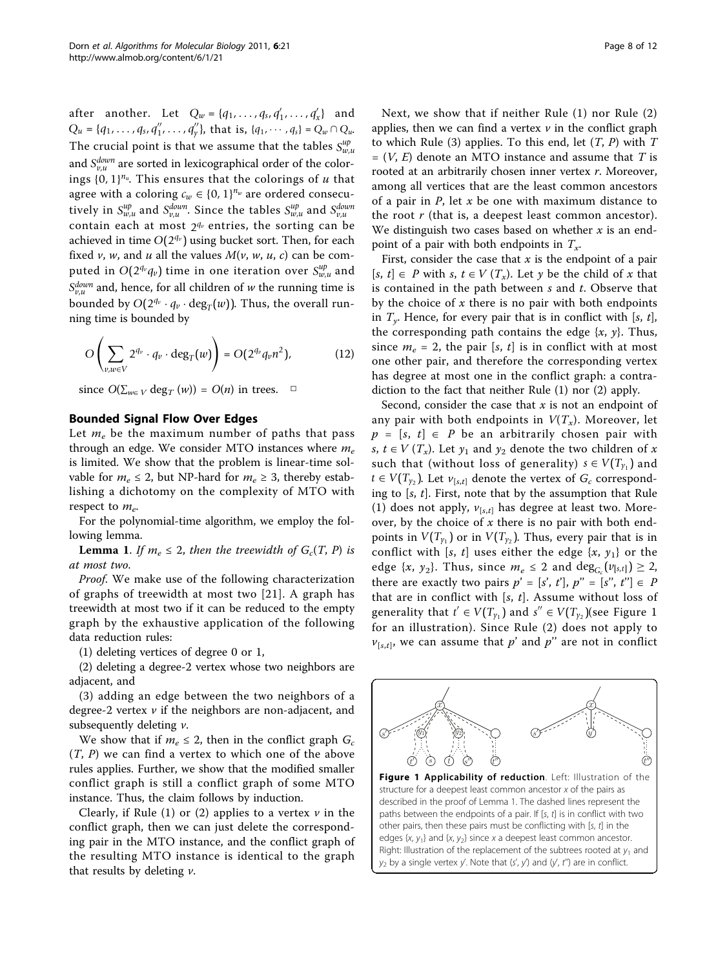<span id="page-7-0"></span>after another. Let  $Q_w = \{q_1, \ldots, q_s, q'_1, \ldots, q'_x\}$  and  $Q_u = \{q_1, \ldots, q_s, q_1'', \ldots, q_y''\}, \text{ that is, } \{q_1, \cdots, q_s\} = Q_w \cap Q_u.$ The crucial point is that we assume that the tables  $S_{w,u}^{\mu \nu}$ and  $S_{v,u}^{down}$  are sorted in lexicographical order of the colorings  $\{0, 1\}^{n_u}$ . This ensures that the colorings of u that agree with a coloring  $c_w \in \{0, 1\}^{n_w}$  are ordered consecutively in  $S_{w,u}^{\mu p}$  and  $S_{v,u}^{down}$ . Since the tables  $S_{w,u}^{\mu p}$  and  $S_{v,u}^{down}$ contain each at most 2*qv* entries, the sorting can be achieved in time  $O(2^{q_v})$  using bucket sort. Then, for each fixed v, w, and u all the values  $M(v, w, u, c)$  can be computed in  $O(2^{q_v}q_v)$  time in one iteration over  $S_{w,u}^{\mathsf{up}}$  and  $S_{\nu,\nu}^{down}$  and, hence, for all children of w the running time is bounded by  $O(2^{q_v} \cdot q_v \cdot \text{deg}_T(w))$ . Thus, the overall running time is bounded by

$$
O\left(\sum_{v,w\in V} 2^{q_v} \cdot q_v \cdot \deg_T(w)\right) = O(2^{q_v} q_v n^2),\tag{12}
$$

since  $O(\sum_{w \in V} deg_T(w)) = O(n)$  in trees.

### Bounded Signal Flow Over Edges

Let  $m_e$  be the maximum number of paths that pass through an edge. We consider MTO instances where  $m_e$ is limited. We show that the problem is linear-time solvable for  $m_e \le 2$ , but NP-hard for  $m_e \ge 3$ , thereby establishing a dichotomy on the complexity of MTO with respect to  $m_e$ .

For the polynomial-time algorithm, we employ the following lemma.

**Lemma 1.** If  $m_e \leq 2$ , then the treewidth of  $G_c(T, P)$  is at most two.

Proof. We make use of the following characterization of graphs of treewidth at most two [[21\]](#page-11-0). A graph has treewidth at most two if it can be reduced to the empty graph by the exhaustive application of the following data reduction rules:

(1) deleting vertices of degree 0 or 1,

(2) deleting a degree-2 vertex whose two neighbors are adjacent, and

(3) adding an edge between the two neighbors of a degree-2 vertex  $\nu$  if the neighbors are non-adjacent, and subsequently deleting  $\nu$ .

We show that if  $m_e \leq 2$ , then in the conflict graph  $G_c$  $(T, P)$  we can find a vertex to which one of the above rules applies. Further, we show that the modified smaller conflict graph is still a conflict graph of some MTO instance. Thus, the claim follows by induction.

Clearly, if Rule (1) or (2) applies to a vertex  $\nu$  in the conflict graph, then we can just delete the corresponding pair in the MTO instance, and the conflict graph of the resulting MTO instance is identical to the graph that results by deleting  $\nu$ .

Next, we show that if neither Rule (1) nor Rule (2) applies, then we can find a vertex  $\nu$  in the conflict graph to which Rule (3) applies. To this end, let  $(T, P)$  with  $T$  $=(V, E)$  denote an MTO instance and assume that T is rooted at an arbitrarily chosen inner vertex r. Moreover, among all vertices that are the least common ancestors of a pair in  $P$ , let  $x$  be one with maximum distance to the root  $r$  (that is, a deepest least common ancestor). We distinguish two cases based on whether  $x$  is an endpoint of a pair with both endpoints in  $T<sub>r</sub>$ .

First, consider the case that  $x$  is the endpoint of a pair [s, t]  $\in$  P with s,  $t \in V(T_x)$ . Let y be the child of x that is contained in the path between  $s$  and  $t$ . Observe that by the choice of  $x$  there is no pair with both endpoints in  $T_{\nu}$ . Hence, for every pair that is in conflict with [s, t], the corresponding path contains the edge  $\{x, y\}$ . Thus, since  $m_e = 2$ , the pair [s, t] is in conflict with at most one other pair, and therefore the corresponding vertex has degree at most one in the conflict graph: a contradiction to the fact that neither Rule (1) nor (2) apply.

Second, consider the case that  $x$  is not an endpoint of any pair with both endpoints in  $V(T_x)$ . Moreover, let  $p = [s, t] \in P$  be an arbitrarily chosen pair with s,  $t \in V(T_x)$ . Let  $y_1$  and  $y_2$  denote the two children of x such that (without loss of generality)  $s \in V(T_{y_1})$  and *t* ∈ *V*( $T_{\gamma_2}$ ). Let  $\nu_{[s,t]}$  denote the vertex of  $G_c$  corresponding to  $[s, t]$ . First, note that by the assumption that Rule (1) does not apply,  $v_{[s,t]}$  has degree at least two. Moreover, by the choice of  $x$  there is no pair with both endpoints in  $V(T_{\nu_1})$  or in  $V(T_{\nu_2})$ . Thus, every pair that is in conflict with [s, t] uses either the edge  $\{x, y_1\}$  or the edge  $\{x, y_2\}$ . Thus, since  $m_e \le 2$  and  $\deg_{G_e}(v_{[s,t]}) \ge 2$ , there are exactly two pairs  $p' = [s', t'], p'' = [s'', t''] \in P$ that are in conflict with  $[s, t]$ . Assume without loss of generality that  $t' \in V(T_{\gamma_1})$  and  $s'' \in V(T_{\gamma_2})$ (see Figure 1 for an illustration). Since Rule (2) does not apply to  $v_{[s,t]}$ , we can assume that p' and p'' are not in conflict



Figure 1 Applicability of reduction. Left: Illustration of the structure for a deepest least common ancestor  $x$  of the pairs as described in the proof of Lemma 1. The dashed lines represent the paths between the endpoints of a pair. If [s, t] is in conflict with two other pairs, then these pairs must be conflicting with  $[s, t]$  in the edges  $\{x, y_1\}$  and  $\{x, y_2\}$  since x a deepest least common ancestor. Right: Illustration of the replacement of the subtrees rooted at  $y_1$  and  $y_2$  by a single vertex y'. Note that (s', y') and (y', t'') are in conflict.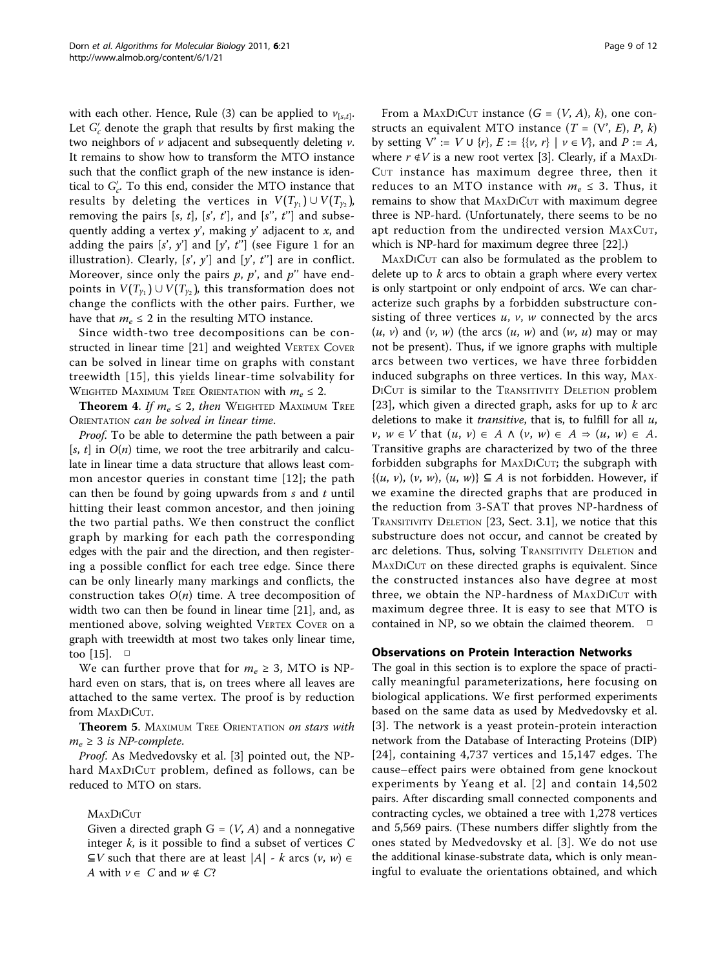with each other. Hence, Rule (3) can be applied to  $v_{[s,t]}$ . Let  $G_c'$  denote the graph that results by first making the two neighbors of  $\nu$  adjacent and subsequently deleting  $\nu$ . It remains to show how to transform the MTO instance such that the conflict graph of the new instance is identical to  $G'_{c}$ . To this end, consider the MTO instance that results by deleting the vertices in  $V(T_{y_1}) \cup V(T_{y_2})$ , removing the pairs  $[s, t]$ ,  $[s', t']$ , and  $[s'', t'']$  and subsequently adding a vertex  $y'$ , making  $y'$  adjacent to  $x$ , and adding the pairs  $[s', y']$  and  $[y', t'']$  (see Figure [1](#page-7-0) for an illustration). Clearly,  $[s', y']$  and  $[y', t'']$  are in conflict. Moreover, since only the pairs  $p$ ,  $p'$ , and  $p''$  have endpoints in  $V(T_{\nu_1}) \cup V(T_{\nu_2})$ , this transformation does not change the conflicts with the other pairs. Further, we have that  $m_e \leq 2$  in the resulting MTO instance.

Since width-two tree decompositions can be constructed in linear time [[21\]](#page-11-0) and weighted VERTEX COVER can be solved in linear time on graphs with constant treewidth [[15\]](#page-11-0), this yields linear-time solvability for WEIGHTED MAXIMUM TREE ORIENTATION with  $m_e \leq 2$ .

**Theorem 4.** If  $m_e \leq 2$ , then WEIGHTED MAXIMUM TREE ORIENTATION can be solved in linear time.

Proof. To be able to determine the path between a pair [s, t] in  $O(n)$  time, we root the tree arbitrarily and calculate in linear time a data structure that allows least common ancestor queries in constant time [\[12\]](#page-11-0); the path can then be found by going upwards from  $s$  and  $t$  until hitting their least common ancestor, and then joining the two partial paths. We then construct the conflict graph by marking for each path the corresponding edges with the pair and the direction, and then registering a possible conflict for each tree edge. Since there can be only linearly many markings and conflicts, the construction takes  $O(n)$  time. A tree decomposition of width two can then be found in linear time [\[21](#page-11-0)], and, as mentioned above, solving weighted VERTEX COVER on a graph with treewidth at most two takes only linear time, too [\[15](#page-11-0)].  $\Box$ 

We can further prove that for  $m_e \geq 3$ , MTO is NPhard even on stars, that is, on trees where all leaves are attached to the same vertex. The proof is by reduction from MAXDICUT.

Theorem 5. MAXIMUM TREE ORIENTATION on stars with  $m_e \geq 3$  is NP-complete.

Proof. As Medvedovsky et al. [[3\]](#page-11-0) pointed out, the NPhard MAXDICUT problem, defined as follows, can be reduced to MTO on stars.

# **MAXDICUT**

Given a directed graph  $G = (V, A)$  and a nonnegative integer  $k$ , is it possible to find a subset of vertices  $C$ ⊆*V* such that there are at least  $|A|$  - *k* arcs  $(v, w)$  ∈ A with  $v \in C$  and  $w \notin C$ ?

From a MAXDICUT instance  $(G = (V, A), k)$ , one constructs an equivalent MTO instance  $(T = (V', E), P, k)$ by setting  $V' := V \cup \{r\}, E := \{ \{v, r\} \mid v \in V \}$ , and  $P := A$ , where  $r \notin V$  is a new root vertex [[3\]](#page-11-0). Clearly, if a MAXDI-CUT instance has maximum degree three, then it reduces to an MTO instance with  $m_e \leq 3$ . Thus, it remains to show that MAXDICUT with maximum degree three is NP-hard. (Unfortunately, there seems to be no apt reduction from the undirected version MAXCUT, which is NP-hard for maximum degree three [[22](#page-11-0)].)

MAXDICUT can also be formulated as the problem to delete up to  $k$  arcs to obtain a graph where every vertex is only startpoint or only endpoint of arcs. We can characterize such graphs by a forbidden substructure consisting of three vertices  $u$ ,  $v$ ,  $w$  connected by the arcs  $(u, v)$  and  $(v, w)$  (the arcs  $(u, w)$  and  $(w, u)$  may or may not be present). Thus, if we ignore graphs with multiple arcs between two vertices, we have three forbidden induced subgraphs on three vertices. In this way, MAX-DICUT is similar to the TRANSITIVITY DELETION problem [[23](#page-11-0)], which given a directed graph, asks for up to  $k$  arc deletions to make it *transitive*, that is, to fulfill for all  $u$ ,  $v, w \in V$  that  $(u, v) \in A \land (v, w) \in A \Rightarrow (u, w) \in A$ . Transitive graphs are characterized by two of the three forbidden subgraphs for MAXDICUT; the subgraph with  $\{(u, v), (v, w), (u, w)\}\subseteq A$  is not forbidden. However, if we examine the directed graphs that are produced in the reduction from 3-SAT that proves NP-hardness of TRANSITIVITY DELETION [23, Sect. 3.1], we notice that this substructure does not occur, and cannot be created by arc deletions. Thus, solving TRANSITIVITY DELETION and MAXDICUT on these directed graphs is equivalent. Since the constructed instances also have degree at most three, we obtain the NP-hardness of MAXDICUT with maximum degree three. It is easy to see that MTO is contained in NP, so we obtain the claimed theorem.  $\Box$ 

# Observations on Protein Interaction Networks

The goal in this section is to explore the space of practically meaningful parameterizations, here focusing on biological applications. We first performed experiments based on the same data as used by Medvedovsky et al. [[3](#page-11-0)]. The network is a yeast protein-protein interaction network from the Database of Interacting Proteins (DIP) [[24\]](#page-11-0), containing 4,737 vertices and 15,147 edges. The cause–effect pairs were obtained from gene knockout experiments by Yeang et al. [[2\]](#page-11-0) and contain 14,502 pairs. After discarding small connected components and contracting cycles, we obtained a tree with 1,278 vertices and 5,569 pairs. (These numbers differ slightly from the ones stated by Medvedovsky et al. [[3\]](#page-11-0). We do not use the additional kinase-substrate data, which is only meaningful to evaluate the orientations obtained, and which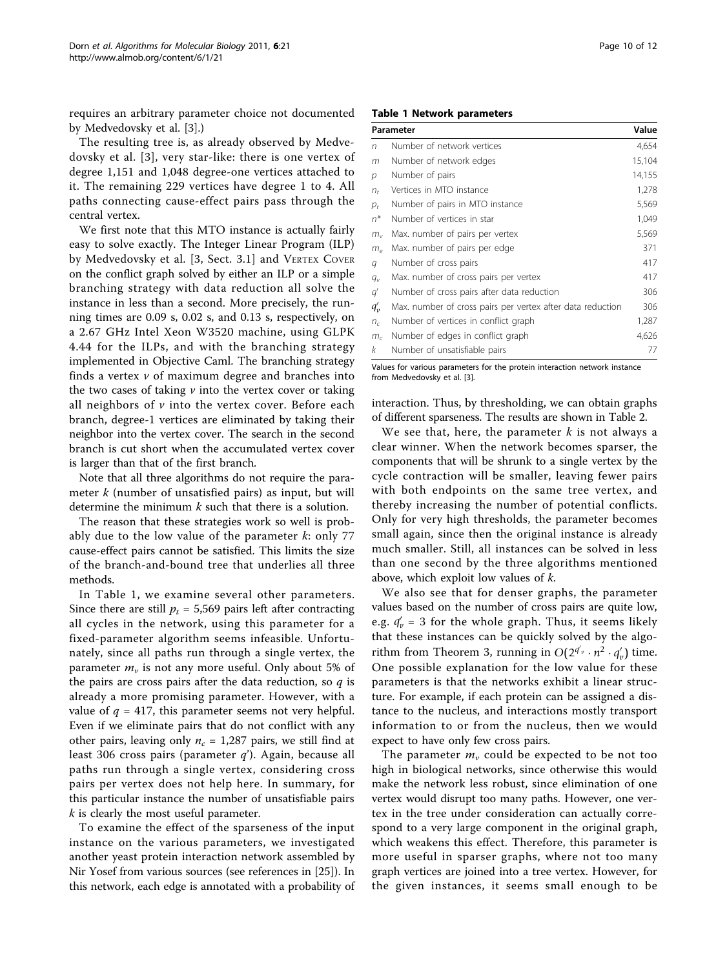requires an arbitrary parameter choice not documented by Medvedovsky et al. [\[3\]](#page-11-0).)

The resulting tree is, as already observed by Medvedovsky et al. [[3\]](#page-11-0), very star-like: there is one vertex of degree 1,151 and 1,048 degree-one vertices attached to it. The remaining 229 vertices have degree 1 to 4. All paths connecting cause-effect pairs pass through the central vertex.

We first note that this MTO instance is actually fairly easy to solve exactly. The Integer Linear Program (ILP) by Medvedovsky et al. [3, Sect. 3.1] and VERTEX COVER on the conflict graph solved by either an ILP or a simple branching strategy with data reduction all solve the instance in less than a second. More precisely, the running times are 0.09 s, 0.02 s, and 0.13 s, respectively, on a 2.67 GHz Intel Xeon W3520 machine, using GLPK 4.44 for the ILPs, and with the branching strategy implemented in Objective Caml. The branching strategy finds a vertex  $\nu$  of maximum degree and branches into the two cases of taking  $\nu$  into the vertex cover or taking all neighbors of  $\nu$  into the vertex cover. Before each branch, degree-1 vertices are eliminated by taking their neighbor into the vertex cover. The search in the second branch is cut short when the accumulated vertex cover is larger than that of the first branch.

Note that all three algorithms do not require the parameter  $k$  (number of unsatisfied pairs) as input, but will determine the minimum  $k$  such that there is a solution.

The reason that these strategies work so well is probably due to the low value of the parameter  $k$ : only 77 cause-effect pairs cannot be satisfied. This limits the size of the branch-and-bound tree that underlies all three methods.

In Table 1, we examine several other parameters. Since there are still  $p_t = 5,569$  pairs left after contracting all cycles in the network, using this parameter for a fixed-parameter algorithm seems infeasible. Unfortunately, since all paths run through a single vertex, the parameter  $m_{\nu}$  is not any more useful. Only about 5% of the pairs are cross pairs after the data reduction, so  $q$  is already a more promising parameter. However, with a value of  $q = 417$ , this parameter seems not very helpful. Even if we eliminate pairs that do not conflict with any other pairs, leaving only  $n_c = 1,287$  pairs, we still find at least 306 cross pairs (parameter q'). Again, because all paths run through a single vertex, considering cross pairs per vertex does not help here. In summary, for this particular instance the number of unsatisfiable pairs k is clearly the most useful parameter.

To examine the effect of the sparseness of the input instance on the various parameters, we investigated another yeast protein interaction network assembled by Nir Yosef from various sources (see references in [\[25\]](#page-11-0)). In this network, each edge is annotated with a probability of

#### Table 1 Network parameters

| Parameter |                                                            |        |  |  |  |
|-----------|------------------------------------------------------------|--------|--|--|--|
| n         | Number of network vertices                                 | 4,654  |  |  |  |
| m         | Number of network edges                                    | 15,104 |  |  |  |
| р         | Number of pairs                                            | 14,155 |  |  |  |
| $n_{t}$   | Vertices in MTO instance                                   | 1,278  |  |  |  |
| $p_t$     | Number of pairs in MTO instance                            | 5,569  |  |  |  |
| $n^*$     | Number of vertices in star                                 | 1,049  |  |  |  |
| $m_{v}$   | Max. number of pairs per vertex                            | 5,569  |  |  |  |
| $m_e$     | Max. number of pairs per edge                              | 371    |  |  |  |
| q         | Number of cross pairs                                      | 417    |  |  |  |
| $q_v$     | Max. number of cross pairs per vertex                      | 417    |  |  |  |
| ď         | Number of cross pairs after data reduction                 | 306    |  |  |  |
| $q'_v$    | Max. number of cross pairs per vertex after data reduction | 306    |  |  |  |
| $n_c$     | Number of vertices in conflict graph                       | 1,287  |  |  |  |
| $m_c$     | Number of edges in conflict graph                          | 4,626  |  |  |  |
| k         | Number of unsatisfiable pairs                              | 77     |  |  |  |

Values for various parameters for the protein interaction network instance from Medvedovsky et al. [\[3\]](#page-11-0).

interaction. Thus, by thresholding, we can obtain graphs of different sparseness. The results are shown in Table [2.](#page-10-0)

We see that, here, the parameter  $k$  is not always a clear winner. When the network becomes sparser, the components that will be shrunk to a single vertex by the cycle contraction will be smaller, leaving fewer pairs with both endpoints on the same tree vertex, and thereby increasing the number of potential conflicts. Only for very high thresholds, the parameter becomes small again, since then the original instance is already much smaller. Still, all instances can be solved in less than one second by the three algorithms mentioned above, which exploit low values of k.

We also see that for denser graphs, the parameter values based on the number of cross pairs are quite low, e.g.  $q'_v = 3$  for the whole graph. Thus, it seems likely that these instances can be quickly solved by the algorithm from Theorem 3, running in  $O(2^{q_v'} \cdot n^2 \cdot q_v')$  time. One possible explanation for the low value for these parameters is that the networks exhibit a linear structure. For example, if each protein can be assigned a distance to the nucleus, and interactions mostly transport information to or from the nucleus, then we would expect to have only few cross pairs.

The parameter  $m_{\nu}$  could be expected to be not too high in biological networks, since otherwise this would make the network less robust, since elimination of one vertex would disrupt too many paths. However, one vertex in the tree under consideration can actually correspond to a very large component in the original graph, which weakens this effect. Therefore, this parameter is more useful in sparser graphs, where not too many graph vertices are joined into a tree vertex. However, for the given instances, it seems small enough to be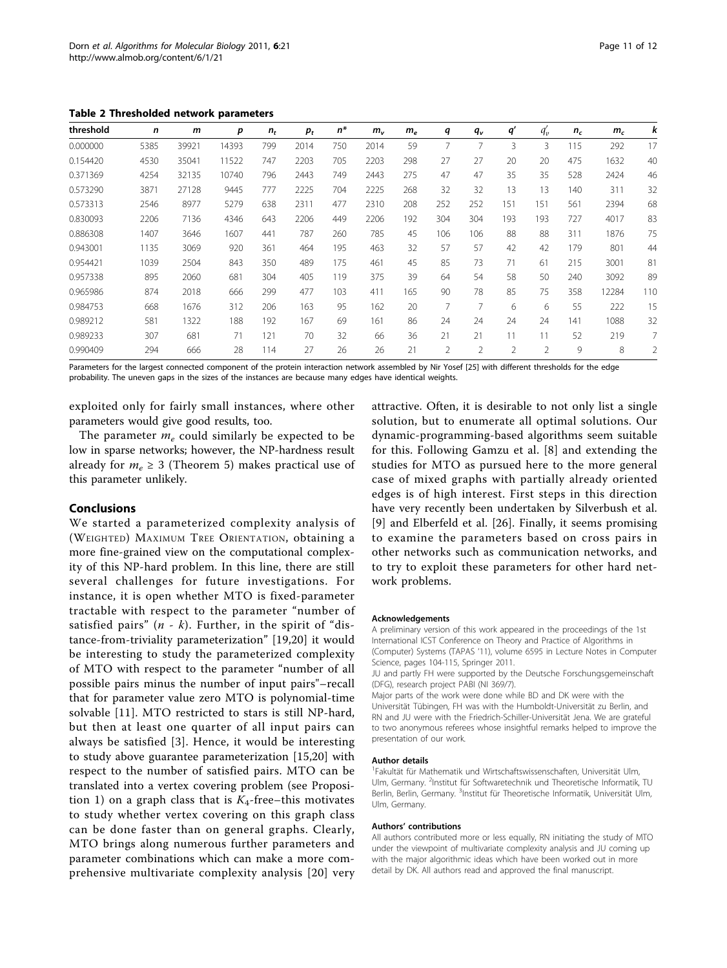<span id="page-10-0"></span>Table 2 Thresholded network parameters

| threshold | n    | m     | р     | $n_t$ | $p_t$ | $n^*$ | $m_{v}$ | $m_e$ | q   | $q_v$          | qʻ             | $q'_v$         | $n_c$ | $m_c$ | k   |
|-----------|------|-------|-------|-------|-------|-------|---------|-------|-----|----------------|----------------|----------------|-------|-------|-----|
| 0.000000  | 5385 | 39921 | 14393 | 799   | 2014  | 750   | 2014    | 59    | 7   | 7              | 3              | 3              | 115   | 292   | 17  |
| 0.154420  | 4530 | 35041 | 11522 | 747   | 2203  | 705   | 2203    | 298   | 27  | 27             | 20             | 20             | 475   | 1632  | 40  |
| 0.371369  | 4254 | 32135 | 10740 | 796   | 2443  | 749   | 2443    | 275   | 47  | 47             | 35             | 35             | 528   | 2424  | 46  |
| 0.573290  | 3871 | 27128 | 9445  | 777   | 2225  | 704   | 2225    | 268   | 32  | 32             | 13             | 13             | 140   | 311   | 32  |
| 0.573313  | 2546 | 8977  | 5279  | 638   | 2311  | 477   | 2310    | 208   | 252 | 252            | 151            | 151            | 561   | 2394  | 68  |
| 0.830093  | 2206 | 7136  | 4346  | 643   | 2206  | 449   | 2206    | 192   | 304 | 304            | 193            | 193            | 727   | 4017  | 83  |
| 0.886308  | 1407 | 3646  | 1607  | 441   | 787   | 260   | 785     | 45    | 106 | 106            | 88             | 88             | 311   | 1876  | 75  |
| 0.943001  | 1135 | 3069  | 920   | 361   | 464   | 195   | 463     | 32    | 57  | 57             | 42             | 42             | 179   | 801   | 44  |
| 0.954421  | 1039 | 2504  | 843   | 350   | 489   | 175   | 461     | 45    | 85  | 73             | 71             | 61             | 215   | 3001  | 81  |
| 0.957338  | 895  | 2060  | 681   | 304   | 405   | 119   | 375     | 39    | 64  | 54             | 58             | 50             | 240   | 3092  | 89  |
| 0.965986  | 874  | 2018  | 666   | 299   | 477   | 103   | 411     | 165   | 90  | 78             | 85             | 75             | 358   | 12284 | 110 |
| 0.984753  | 668  | 1676  | 312   | 206   | 163   | 95    | 162     | 20    | 7   | 7              | 6              | 6              | 55    | 222   | 15  |
| 0.989212  | 581  | 1322  | 188   | 192   | 167   | 69    | 161     | 86    | 24  | 24             | 24             | 24             | 141   | 1088  | 32  |
| 0.989233  | 307  | 681   | 71    | 121   | 70    | 32    | 66      | 36    | 21  | 21             | 11             | 11             | 52    | 219   | 7   |
| 0.990409  | 294  | 666   | 28    | 114   | 27    | 26    | 26      | 21    | 2   | $\overline{2}$ | $\overline{2}$ | $\overline{2}$ | 9     | 8     | 2   |

Parameters for the largest connected component of the protein interaction network assembled by Nir Yosef [[25\]](#page-11-0) with different thresholds for the edge probability. The uneven gaps in the sizes of the instances are because many edges have identical weights.

exploited only for fairly small instances, where other parameters would give good results, too.

The parameter  $m_e$  could similarly be expected to be low in sparse networks; however, the NP-hardness result already for  $m_e \geq 3$  (Theorem 5) makes practical use of this parameter unlikely.

### Conclusions

We started a parameterized complexity analysis of (WEIGHTED) MAXIMUM TREE ORIENTATION, obtaining a more fine-grained view on the computational complexity of this NP-hard problem. In this line, there are still several challenges for future investigations. For instance, it is open whether MTO is fixed-parameter tractable with respect to the parameter "number of satisfied pairs"  $(n - k)$ . Further, in the spirit of "distance-from-triviality parameterization" [\[19](#page-11-0),[20\]](#page-11-0) it would be interesting to study the parameterized complexity of MTO with respect to the parameter "number of all possible pairs minus the number of input pairs"–recall that for parameter value zero MTO is polynomial-time solvable [\[11](#page-11-0)]. MTO restricted to stars is still NP-hard, but then at least one quarter of all input pairs can always be satisfied [[3\]](#page-11-0). Hence, it would be interesting to study above guarantee parameterization [\[15](#page-11-0),[20\]](#page-11-0) with respect to the number of satisfied pairs. MTO can be translated into a vertex covering problem (see Proposition 1) on a graph class that is  $K_4$ -free–this motivates to study whether vertex covering on this graph class can be done faster than on general graphs. Clearly, MTO brings along numerous further parameters and parameter combinations which can make a more comprehensive multivariate complexity analysis [[20\]](#page-11-0) very

attractive. Often, it is desirable to not only list a single solution, but to enumerate all optimal solutions. Our dynamic-programming-based algorithms seem suitable for this. Following Gamzu et al. [[8](#page-11-0)] and extending the studies for MTO as pursued here to the more general case of mixed graphs with partially already oriented edges is of high interest. First steps in this direction have very recently been undertaken by Silverbush et al. [[9\]](#page-11-0) and Elberfeld et al. [\[26](#page-11-0)]. Finally, it seems promising to examine the parameters based on cross pairs in other networks such as communication networks, and to try to exploit these parameters for other hard network problems.

#### Acknowledgements

A preliminary version of this work appeared in the proceedings of the 1st International ICST Conference on Theory and Practice of Algorithms in (Computer) Systems (TAPAS '11), volume 6595 in Lecture Notes in Computer Science, pages 104-115, Springer 2011.

JU and partly FH were supported by the Deutsche Forschungsgemeinschaft (DFG), research project PABI (NI 369/7).

Major parts of the work were done while BD and DK were with the Universität Tübingen, FH was with the Humboldt-Universität zu Berlin, and RN and JU were with the Friedrich-Schiller-Universität Jena. We are grateful to two anonymous referees whose insightful remarks helped to improve the presentation of our work.

#### Author details

1 Fakultät für Mathematik und Wirtschaftswissenschaften, Universität Ulm, Ulm, Germany. <sup>2</sup>Institut für Softwaretechnik und Theoretische Informatik, TU Berlin, Berlin, Germany. <sup>3</sup>Institut für Theoretische Informatik, Universität Ulm, Ulm, Germany.

#### Authors' contributions

All authors contributed more or less equally, RN initiating the study of MTO under the viewpoint of multivariate complexity analysis and JU coming up with the major algorithmic ideas which have been worked out in more detail by DK. All authors read and approved the final manuscript.